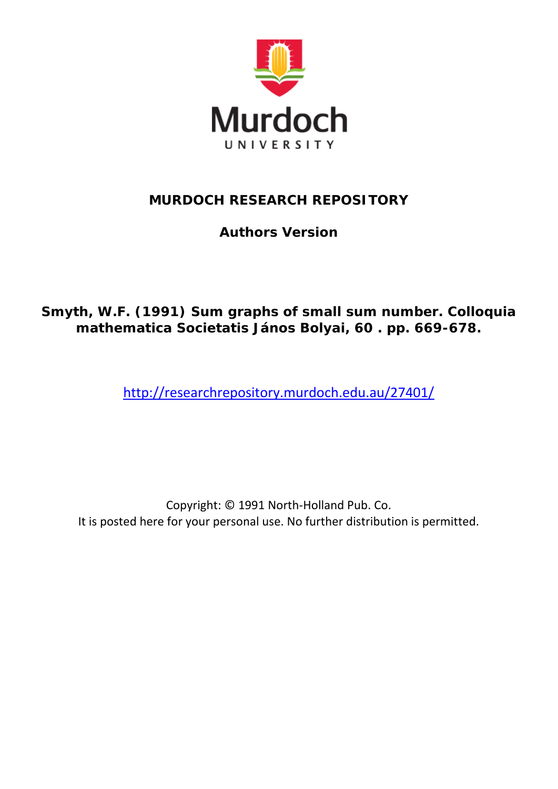

# **MURDOCH RESEARCH REPOSITORY**

**Authors Version**

# **Smyth, W.F. (1991) Sum graphs of small sum number. Colloquia mathematica Societatis János Bolyai, 60 . pp. 669-678.**

<http://researchrepository.murdoch.edu.au/27401/>

Copyright: © 1991 North-Holland Pub. Co. It is posted here for your personal use. No further distribution is permitted.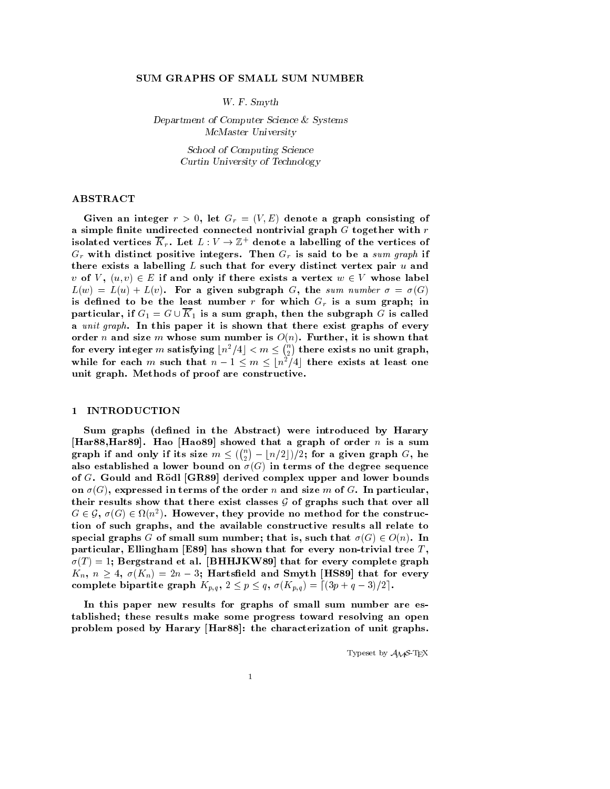#### SUM GRAPHS OF SMALL SUM NUMBER

where the contract of the contract of the contract of the contract of the contract of the contract of the contract of the contract of the contract of the contract of the contract of the contract of the contract of the cont

Department of Computer Science & Systems McMaster University

> School of Computing Science Curtin University of Technology

# ABSTRACT

and interesting and integer results of  $\mathcal{C}$  and  $\mathcal{C}$  are a graph consisting of  $\mathcal{C}$ a simple finite undirected connected nontrivial graph  $G$  together with  $r$ isolated vertices  $\overline{K}_r$ . Let  $L: V \to \mathbb{Z}^+$  denote a labelling of the vertices of  $G_r$  with distinct positive integers. Then  $G_r$  is said to be a sum graph if there exists a labelling  $L$  such that for every distinct vertex pair  $u$  and  $v$  of  $V$ ,  $(u, v) \in E$  if and only if there exists a vertex  $w \in V$  whose label  $\mathbf{L} \setminus \mathbf{w}$  and  $\mathbf{L} \setminus \mathbf{w}$  is the subgraph  $\mathbf{C}$  , we sum number  $\mathbf{C}$  ,  $\mathbf{C}$ is defined to be the least number r for which  $G_r$  is a sum graph; in particular, if  $G_1 = G \cup K_1$  is a sum graph, then the subgraph G is called a unit graph. In this paper it is shown that there exist graphs of every order <sup>n</sup> and size <sup>m</sup> whose sum number is On Further- it is shown that for every integer  $m$  satisfying  $\lfloor n^2/4\rfloor < m \leq \binom{n}{2}$  there ex there exists no unit graphwhile for each m such that  $n - 1 \le m \le \lfloor n^2/4 \rfloor$  there exists at least one unit graph. Methods of proof are constructive.

### 1 INTRODUCTION

Sum graphs (defined in the Abstract) were introduced by Harary  $\mathbf H$  . Have that a graph of order n is a summation of order n is a summation of order n is a summation of order n is a summation of  $\mathbf H$ graph if and only if its size  $m \leq (\binom{n}{2} - \lfloor n/2 \rfloor)/2;$  for a given graph  $G,$  he also established a lower bound on  $\sigma(G)$  in terms of the degree sequence of Green and Street (Street (Street and Street upper and lower bounds) on G- expressed in terms of the order <sup>n</sup> and size <sup>m</sup> of G In particulartheir results show that there exist classes  $\mathcal G$  of graphs such that over all  $G \in \mathcal{G}, \sigma(G) \in \Omega(n^2)$ . However, they provide no method for the construction is such graphs; which construct results all relate the constructive relationship special graphs G of small sum number; that is, such that  $\sigma(G) \in O(n)$ . In particular- extending that for every non-tree  $\cdots$  . The form that for every  $\cdots$  $\mathcal{F}_1$  -  $\mathcal{F}_2$  -  $\mathcal{F}_3$  . The form of the form of every complete graphs of  $\mathcal{F}_4$  and  $\mathcal{F}_5$  . The form of the form of  $\mathcal{F}_5$  and  $\mathcal{F}_6$  are  $\mathcal{F}_7$  . The form of  $\mathcal{F}_7$  and  $\mathcal{F}_8$  are  $\mathcal{F$  $K_n, n \geq 4, \sigma(K_n) = 2n-3;$  Hartsfield and Smyth |HS89| that for every complete bipartite graph  $K_{p,q}$ ,  $2 \leq p \leq q$ ,  $\sigma(K_{p,q}) = \lceil (3p+q-3)/2 \rceil$ .

In this paper new results for graphs of small sum number are es tablished; these results make some progress toward resolving an open  $\mathbf{H}$  the characterization of unit graphs of unit graphs of unit graphs of unit graphs of unit graphs of unit graphs of unit graphs of unit graphs of unit graphs of unit graphs of unit graphs of unit graphs of unit gra

Typeset by  $\mathcal{A}_{\mathcal{M}}\mathcal{S}$ -T<sub>E</sub>X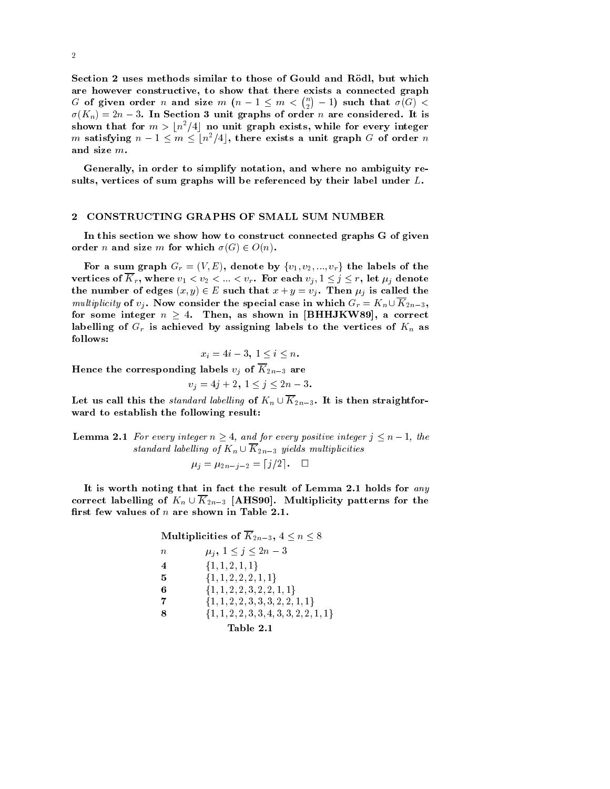section a detail decline of complete to these of Gould and Resource where  $\sim$ are moved compared that there exists a constructive-discussed graphs are a connected and the second graphs of  $G$  of given order  $n$  and size  $m$   $\left(n-1\leq m<\binom{n}{2}-1\right)$  such that  $\sigma(G)<$  $\sigma(n_n) = 2n - 3$ . In Section 3 unit graphs of order n are considered. It is shown that for  $m > \lfloor n^2/4 \rfloor$  no unit graph exists, while for every integer  $m$  satisfying  $n-1\leq m\leq \lfloor n^2/4\rfloor,$  there exists a unit graph  $G$  of order  $n$ and size m

Generally- in order to simplify notation- and where no ambiguity re survives of sum and graphs will be referenced by their labels will be referenced by

#### CONSTRUCTING GRAPHS OF SMALL SUM NUMBER

In this section we show how to construct connected graphs G of given order n and size m for which  $\sigma(G) \in O(n)$ .

For a sum graph  $G_r = (V, E),$  denote by  $\{v_1, v_2, ..., v_r\}$  the labels of the vertices of  $K_r$ , where  $v_1 < v_2 < ... < v_r$ . For each  $v_j, 1 \leq j \leq r$ , let  $\mu_j$  denote the number of edges  $(x, y) \in E$  such that  $x + y = v_i$ . Then  $\mu_i$  is called the multiplicity of  $v_i$ . Now consider the special case in which  $G_r = K_n \cup K_{2n-3}$ , for some integer  $n \geq 4$ . Then, as shown in  $| \text{BHHJKW89}|$ , a correct labelling of  $G_r$  is achieved by assigning labels to the vertices of  $K_n$  as follows

$$
x_i=4i-3,\ 1\leq i\leq n.
$$

Hence the corresponding labels  $v_i$  of  $\overline{K}_{2n-3}$  are

$$
v_j = 4j + 2, \ 1 \le j \le 2n - 3.
$$

Let us call this the *standard labelling* of  $K_n \cup \overline{K}_{2n-3}$ . It is then straightforward to establish the following result

**Lemma 2.1** For every integer  $n \geq 4$ , and for every positive integer  $j \leq n-1$ , the standard labelling of  $K_n \cup K_{2n-3}$  yields multiplicities  $\mu_j = \mu_{2n-j-2} = [j/2].$ 

It is worth noting that in fact the result of Lemma 2.1 holds for any correct labelling of  $K_n \cup \overline{K}_{2n-3}$  [AHS90]. Multiplicity patterns for the first few values of  $n$  are shown in Table 2.1.

| Multiplicities of $\overline{K}_{2n-3}$ , $4 \leq n \leq 8$ |                                             |  |  |
|-------------------------------------------------------------|---------------------------------------------|--|--|
| $\, n$                                                      | $\mu_i, 1 \leq j \leq 2n-3$                 |  |  |
| $\overline{4}$                                              | $\{1,1,2,1,1\}$                             |  |  |
| 5                                                           | $\{1, 1, 2, 2, 2, 1, 1\}$                   |  |  |
| 6                                                           | $\{1, 1, 2, 2, 3, 2, 2, 1, 1\}$             |  |  |
| -7                                                          | $\{1, 1, 2, 2, 3, 3, 3, 2, 2, 1, 1\}$       |  |  |
| 8                                                           | $\{1, 1, 2, 2, 3, 3, 4, 3, 3, 2, 2, 1, 1\}$ |  |  |
|                                                             |                                             |  |  |

Table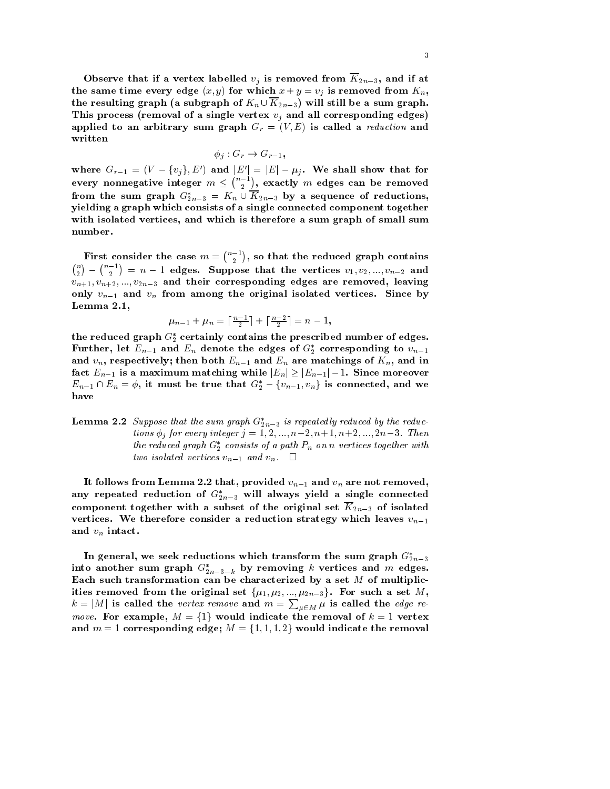$\sim$  0.000  $\sim$  0.000  $\sim$  0.000  $\sim$  0.000  $\sim$  0.000  $\sim$  0.000  $\sim$  0.000  $\sim$  0.000  $\sim$  0.000  $\sim$  0.000  $\sim$  0.000  $\sim$  0.000  $\sim$  0.000  $\sim$  0.000  $\sim$  0.000  $\sim$  0.000  $\sim$  0.000  $\sim$  0.000  $\sim$  0.000  $\sim$  0.000  $\sum_{i=1}^{\infty}$   $\sum_{i=1}^{\infty}$   $\sum_{i=1}^{\infty}$   $\sum_{i=1}^{\infty}$   $\sum_{i=1}^{\infty}$   $\sum_{i=1}^{\infty}$   $\sum_{i=1}^{\infty}$   $\sum_{i=1}^{\infty}$   $\sum_{i=1}^{\infty}$   $\sum_{i=1}^{\infty}$   $\sum_{i=1}^{\infty}$   $\sum_{i=1}^{\infty}$   $\sum_{i=1}^{\infty}$   $\sum_{i=1}^{\infty}$   $\sum_{i=1}^{\in$ the resulting graph (a subgraph of  $K_n \cup \overline{K}_{2n-3}$ ) will still be a sum graph. This process (removal of a single vertex  $v_j$  and all corresponding edges)  $\alpha$  phod to an arbitrary sum graph  $\alpha_r$   $\cdots$   $\alpha_r$  is called a reduction and written

$$
\phi_j: G_r \to G_{r-1},
$$

where  $G_{r-1}=(V-\{v_j\},E')$  and  $|E'|=|E|-\mu_j$ . We shall show that for every nonnegative integer  $m\leq \binom{n-1}{2},$  exact , exactly m enger can be removed and from the sum graph  $G_{2n-3}^* = K_n \cup K_{2n-3}$  by a sequence of reductions, yielding a graph which consists of a single connected component together with isolated vertices-induced vertices-induced vertices-induced vertices-induced vertices-induced vertices-in number

First consider the case  $m = \binom{n-1}{2}, \text{ so that}$  $\mathbf{S}$  that the reduced graph contains  $\mathbf{S}$  that the reduced graph contains  $\mathbf{S}$  $\binom{n}{2} - \binom{n-1}{2} = n-1$  edges. Suppose that the vertices  $v_1, v_2, ..., v_{n-2}$  and  $\mathcal{L}_{n+1}, \mathcal{L}_{n+2}, \ldots, \mathcal{L}_{m+n}$  and the virtue of the subsequential edges are removed, requiring only value that all the original is original isolated vertices since by the original is  $\mu$ Lemma  $2.1,$ 

$$
\mu_{n-1}+\mu_n=\lceil\tfrac{n-1}{2}\rceil+\lceil\tfrac{n-2}{2}\rceil=n-1,
$$

the reduced graph  $\sigma_2$  certainly contains the prescribed number of edges. rurther, let  $E_{n-1}$  and  $E_n$  denote the edges of  $\mathrm{G}_2$  corresponding to  $v_{n-1}$ and value of  $\mu_1$  , then both En-  $\mu_2$  is the matching of  $\mu_1$  and in  $\mu_2$  . Then  $\mu_3$  and in  $\mu_4$ fact  $E_{n-1}$  is a maximum matching while  $|E_n|\geq|E_{n-1}|-1.$  Since moreover  $E_{n-1}\cap E_n=\phi,$  it must be true that  $G_2^*-\{v_{n-1},v_n\}$  is connected, and we have

**Lemma 2.2** Suppose that the sum graph  $G_{2n-3}$  is repeatedly reduced by the reductions  $\varphi_i$  for every integer  $j = 1, 2, ..., n-2, n+1, n+2, ..., 2n-5$ . Then the reauced graph  $G_2$  consists of a path  $P_n$  on n vertices together with two isolated vertices  $v_{n-1}$  and  $v_n$ .  $\Box$ 

 $\frac{1}{1}$  follows from Lemma the  $\frac{1}{1}$ any repeated reduction of  $G_{2n-3}$  will always yield a single connected component together with a subset of the original set  $K_{2n-3}$  of isolated vertices. We therefore consider a reduction strategy which leaves  $v_{n-1}$ and  $v_n$  intact.

In general, we seek reductions which transform the sum graph  $\mathrm{G}_{2n-3}$ into another sum graph  $G_{2n-3-k}$  by removing  $\kappa$  vertices and  $m$  edges. Each such transformation can be characterized by a set  $M$  of multiplicities removed from the original set  $\{ \mu_1, \mu_2, ..., \mu_{2n-3} \}.$  For such a set  $M,$  $k = |M|$  is called the vertex remove and  $m = \sum_{\mu \in M} \mu$  is called the edge re*move*. For example,  $M = \{1\}$  would indicate the removal of  $k = 1$  vertex and  $m=1$  corresponding edge;  $M=\{1,1,1,2\}$  would indicate the removal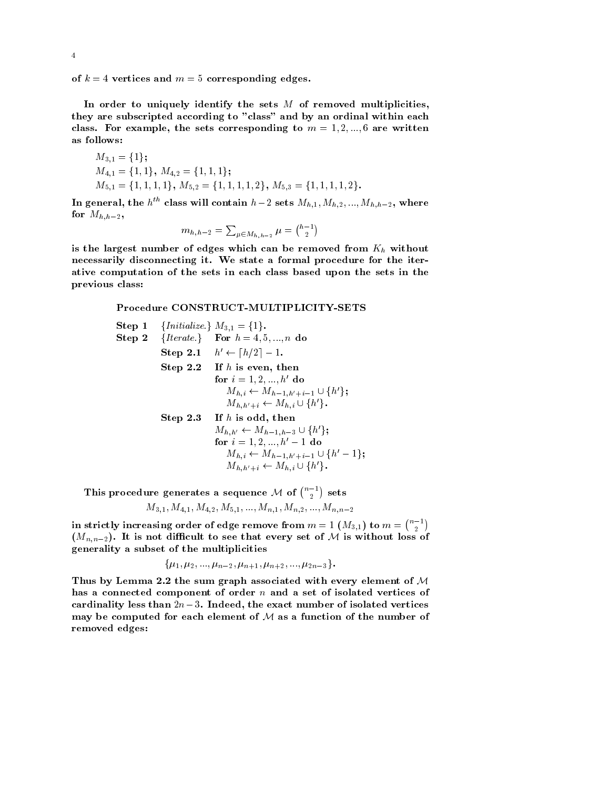$\alpha$  -  $\alpha$  ,  $\alpha$  and  $\alpha$  is  $\alpha$  corresponding edges.

In order to uniquely identify the sets  $M$  of removed multiplicities, they are subscripted according to "class" and by an ordinal within each  $\alpha$  . For example, the sets corresponding to  $m$  -require are written.

$$
M_{3,1} = \{1\};
$$
  
\n
$$
M_{4,1} = \{1,1\}, M_{4,2} = \{1,1,1\};
$$
  
\n
$$
M_{5,1} = \{1,1,1,1\}, M_{5,2} = \{1,1,1,1,2\}, M_{5,3} = \{1,1,1,1,2\}.
$$

In general, the  $h^{**}$  class will contain  $h-2$  sets  $M_{h,1}, M_{h,2},..., M_{h,h-2}$ , where for Mh-h-

$$
m_{h,h-2}=\textstyle\sum_{\mu\in M_{h,h-2}}\mu=\tbinom{h-1}{2}
$$

is the largest number of edges which can be removed from  $K_h$  without necessarily disconnecting it. We state a formal procedure for the iterative computation of the sets in each class based upon the sets in the previous class

### Procedure CONSTRUCT-MULTIPLICITY-SETS

| Step 1                                               | ${Initialize.}$                         | $M_{3,1} = \{1\}.$        |
|------------------------------------------------------|-----------------------------------------|---------------------------|
| Step 2                                               | ${Iterate.}$                            | For $h = 4, 5, ..., n$ do |
| Step 2.1                                             | $h' \leftarrow \lceil h/2 \rceil - 1$ . |                           |
| Step 2.2                                             | If $h$ is even, then                    |                           |
| for $i = 1, 2, ..., h'$ do                           |                                         |                           |
| $M_{h,i} \leftarrow M_{h-1,h'+i-1} \cup \{h'\};$     |                                         |                           |
| $M_{h,h'+i} \leftarrow M_{h,i} \cup \{h'\}.$         |                                         |                           |
| Step 2.3                                             | If $h$ is odd, then                     |                           |
| $M_{h,h'} \leftarrow M_{h-1,h-3} \cup \{h'\};$       |                                         |                           |
| for $i = 1, 2, ..., h' - 1$ do                       |                                         |                           |
| $M_{h,i} \leftarrow M_{h-1,h'+i-1} \cup \{h' - 1\};$ |                                         |                           |
| $M_{h,h'+i} \leftarrow M_{h,i} \cup \{h'\}.$         |                                         |                           |

This procedure generates a sequence M of  $\binom{n-1}{2}$  sets

$$
M_{3,1},M_{4,1},M_{4,2},M_{5,1},...,M_{n,1},M_{n,2},...,M_{n,n-2}
$$

in strictly increasing order of edge remove from  $m=1$   $(M_{3,1})$  to  $m=\binom{n-1}{2}$  $(M_{n,n-2})$ . It is not difficult to see that every set of M is without loss of generality a subset of the multiplicities

$$
\{\mu_1,\mu_2,...,\mu_{n-2},\mu_{n+1},\mu_{n+2},...,\mu_{2n-3}\}.
$$

Thus by Lemma 2.2 the sum graph associated with every element of  $M$ has a connected component of order n and a set of isolated vertices of cardinality less than  $2n - 3$ . There i, the exact number of isolated vertices may be computed for each element of  $M$  as a function of the number of removed edges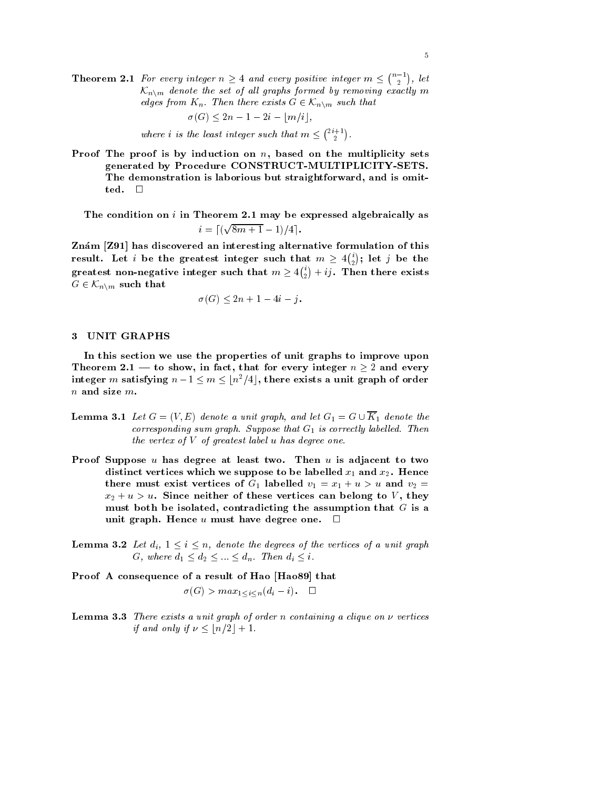**Theorem 2.1** For every integer  $n \geq 4$  and every positive integer  $m \leq \binom{n-1}{2}$ , let  $\mathcal{K}_{n\setminus m}$  denote the set of all graphs formed by removing exactly m edges from  $K_n$ . Then there exists  $G \in \mathcal{K}_{n \setminus m}$  such that

$$
\sigma(G) \le 2n - 1 - 2i - \lfloor m/i \rfloor,
$$

where *i* is the least integer such that  $m \leq \binom{2i+1}{2}$ .

**Proof The proof is by induction on** *n*, based on the multiplicity sets generated by Procedure CONSTRUCT-MULTIPLICITY-SETS. The demonstration is laborious but straightforward- and is omit

The condition on  $i$  in Theorem 2.1 may be expressed algebraically as  $i = \left[ \left( \sqrt{8m+1} - 1 \right) / 4 \right]$ .

Znám [Z91] has discovered an interesting alternative formulation of this result. Let  $i$  be the greatest integer such that  $m\geq 4\binom{i}{2};$  let  $j$  be the greatest non-negative integer such that  $m\geq 4\binom{v}{2}+ij.$  Then there exists  $G \in {\mathcal K}_{n \times m}$  such that

$$
\sigma(G) \le 2n + 1 - 4i - j.
$$

# 3 UNIT GRAPHS

In this section we use the properties of unit graphs to improve upon Theorem 2.1 — to show, in fact, that for every integer  $n\geq 2$  and every integer  $m$  satisfying  $n-1\leq m\leq \lfloor n^2/4\rfloor,$  there exists a unit graph of order  $n$  and size  $m$ .

- **Lemma 3.1** Let  $G = (V, E)$  denote a unit graph, and let  $G_1 = G \cup K_1$  denote the corresponding sum graph. Suppose that  $G_{\perp}$  is correctly tubelled. Then the vertex of <sup>V</sup> of greatest label <sup>u</sup> has degree one
- Proof Suppose  $u$  has degree at least two. Then  $u$  is adjacent to two distinct vertices which we suppose to be labelled x-reduced  $\alpha$  and  $\alpha$ there must exist vertices of G-1 must below the v-1 matrix of the v-2 matrix  $\mu$ where the contract of the contract can be controlled the compact of the  $\eta$ must be in the interacting the assumption that  $c$  is assumption that  $c$  as a sumption that  $c$ unit graph. Hence u must have degree one.  $\square$
- **Lemma 3.2** Let  $d_i$ ,  $1 \leq i \leq n$ , denote the degrees of the vertices of a unit graph G, where  $d_1 \leq d_2 \leq ... \leq d_n$ . Then  $d_i \leq i$ .

Proof A consequence of a result of Hao Hao  that

$$
\sigma(G) > max_{1 \le i \le n} (d_i - i). \quad \Box
$$

**Lemma**  $\mathbf{J}$ **.** There exists a unit graph of order n containing a chique on  $\nu$  vertices if and only if  $\nu \leq \lfloor n/2 \rfloor + 1$ .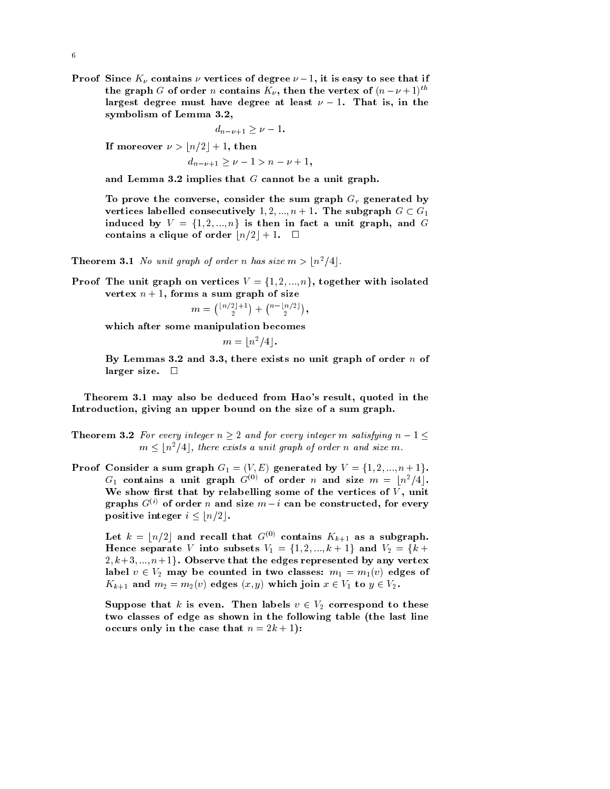I roof since  $K_{\nu}$  contains  $\nu$  vertices of degree  $\nu = 1$ , it is easy to see that if the graph G of order n contains  $K_{\nu}$ , then the vertex of  $(n-\nu+1)^{n-\nu}$ largest degree must have degree at least  $\nu = 1$ . That is, in the symbolism of Lemma 3.2,

$$
d_{n-\nu+1} \geq \nu - 1.
$$

If moreover  $\nu > \lfloor n/2 \rfloor + 1, \text{ then}$ 

 $d_{n-\nu+1} \geq \nu-1 > n-\nu+1$ ,

and Lemma 3.2 implies that  $G$  cannot be a unit graph.

To prove the converse- consider the sum graph Gr generated by vertices labelled consecutively  $1, 2, ..., n + 1$ . The subgraph  $G \subset G_1$ induced by  $V = \{1, 2, ..., n\}$  is then in fact a unit graph, and  $G$ contains a clique of order  $\lfloor n/2 \rfloor + 1$ .  $\Box$ 

**Theorem 3.1** No unit graph of order n has size  $m > \lfloor n^2/4 \rfloor$ .

Theorem 3.1 *No unit graph of order n has size m*  $>$   $\lfloor n^2/4 \rfloor$ .<br>Proof The unit graph on vertices  $V = \{1, 2, ..., n\},$  together with isolated  $\mathbf{v}$  ,  $\mathbf{v}$  ,  $\mathbf{v}$  is sum graph of size

> . . . . . .  $\binom{\lfloor n/2 \rfloor +1}{2} + \binom{n-\lfloor n/2 \rfloor}{2},$

which after some manipulation becomes

 $m = \lfloor n^2/4 \rfloor$ .

a and - there exists no unit graph of  $\alpha$  and  $\alpha$  or  $\alpha$  or  $\alpha$  or  $\alpha$  . The set of order  $\alpha$ larger size.  $\Box$ 

Theorem may also be deduced from Haos result- quoted in the Introduction- giving an upper bound on the size of a sum graph

- **Theorem 3.2** For every integer  $n \geq 2$  and for every integer m satisfying  $n-1 \leq$  $m \leq \lfloor n^2/4 \rfloor$ , there exists a unit graph of order n and size m.
- **Proof Consider a sum graph**  $G_1 = (V, E)$  generated by  $V = \{1, 2, ..., n+1\}.$  $G_1$  contains a unit graph  $G^{(0)}$  of order  $n$  and size  $m~=~\lfloor n^2/4 \rfloor.$ We show relate by relationship some of the vertices of  $\mathbf{u}$ graphs  $G^{(0)}$  of order n and size  $m - i$  can be constructed, for every positive integer  $i \leq |n/2|$ .

Let  $k=\lfloor n/2\rfloor$  and recall that  $G^{(0)}$  contains  $K_{k+1}$  as a subgraph. Hence separate  $V$  into subsets  $V_1 = \{1,2,...,k+1\}$  and  $V_2 = \{k+1\}$  $2, k+3, \ldots, n+1$ . Observe that the edges represented by any vertex label  $v \in V_2$  may be counted in two classes:  $m_1 = m_1(v)$  edges of  $K_{k+1}$  and  $m_2 = m_2(v)$  edges  $(x, y)$  which join  $x \in V_1$  to  $y \in V_2$ .

Suppose that  $k$  is even. Then labels  $v \in V_2$  correspond to these two classes of edge as shown in the following table (the last line occurs only in the case that <sup>n</sup> - k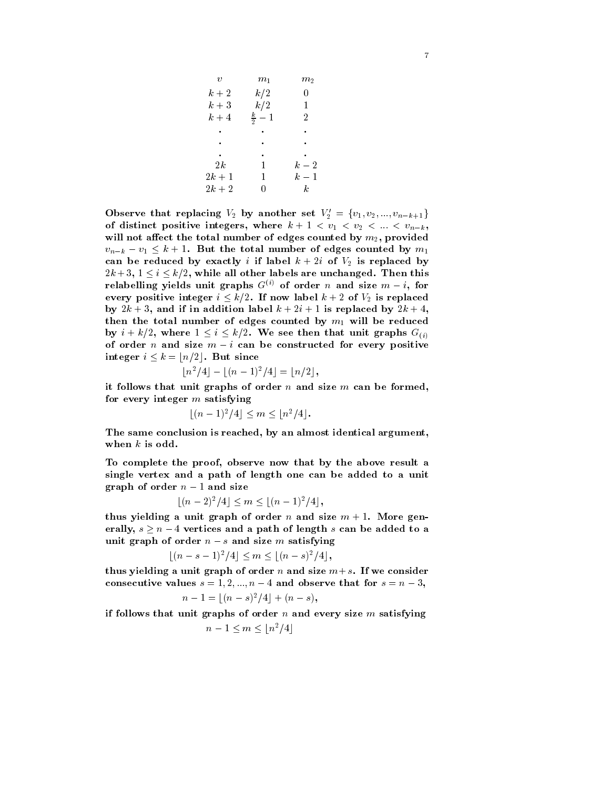| $\boldsymbol{v}$ | $m_{1}$         | $m_{\rm 2}$      |  |
|------------------|-----------------|------------------|--|
| $k+2$            | k/2             | 0                |  |
| $k+3$            | k/2             | 1                |  |
| $k+4$            | $\frac{k}{2}-1$ | $2^{\circ}$      |  |
|                  |                 |                  |  |
|                  |                 |                  |  |
| $\bullet$        |                 |                  |  |
| 2k               | $\mathbf{1}$    | $k-2$            |  |
| $2k+1$           | $\mathbf{1}$    | $k-1$            |  |
| $2k+2$           |                 | $\boldsymbol{k}$ |  |

Observe that replacing  $V_2$  by another set  $V_2' = \{v_1, v_2, ..., v_{n-k+1}\}$  $\}$ of distinct positive integers, where  $w + 1 \times v_1 \times v_2 \times \cdots \times v_{n-k}$ will not a section that the the dimensional counted by measurement  $p$  m-provided by models.  $v_{n-k} - v_1 \leq k+1$ . But the total number of edges counted by  $m_1$ can be reduced by exactly *i* if label  $k + 2i$  of  $V_2$  is replaced by  $2k+3,\ 1\leq i\leq k/2,$  while all other labels are unchanged. Then this relabelling yields unit graphs G $\vee$  of order n and size  $m-i$ , for every positive integer  $i \leq k/2$ . If now label  $k + 2$  of  $V_2$  is replaced  $\mathcal{D}$  , and if  $\mathcal{D}$  is a set to addition and if  $\mathcal{D}$  is replaced by the set of  $\mathcal{D}$ then the total number of edges counted by m- will be reduced by  $i + k/2$ , where  $1 \leq i \leq k/2$ . We see then that unit graphs  $G_{(i)}$ of order n and size  $m - i$  can be constructed for every positive  ${\rm integer} \ \, i \leq k = \lfloor n/2 \rfloor. \ \, {\rm But} \ {\rm since}$ 

$$
\lfloor n^2/4\rfloor-\lfloor (n-1)^2/4\rfloor=\lfloor n/2\rfloor,
$$

it follows that unit graphs of order  $n$  and size  $m$  can be formed, for every integer  $m$  satisfying

$$
\lfloor (n-1)^2/4 \rfloor \le m \le \lfloor n^2/4 \rfloor.
$$

The same conclusion is reached- by an almost identical argumentwhen  $k$  is odd.

To complete the proof- observe now that by the above result a single vertex and a path of length one can be added to a unit graph of order  $n-1$  and size

$$
[(n-2)^2/4] \le m \le [(n-1)^2/4],
$$

thus yielding a unit graph of order n and size  $m + 1$ . More generally,  $s\geq n-4$  vertices and a path of length  $s$  can be added to a unit graph of order  $n - s$  and size m satisfying

$$
[(n-s-1)^2/4] \le m \le [(n-s)^2/4],
$$

thus yielding a unit graph of order n and size  $m+s$ . If we consider consecutive values  $s = 1, 2, ..., n - 4$  and observe that for  $s = n - 3$ ,

$$
n-1=\lfloor (n-s)^2/4\rfloor+(n-s),
$$

if follows that unit graphs of order  $n$  and every size  $m$  satisfying

$$
n-1\leq m\leq \lfloor n^2/4\rfloor
$$